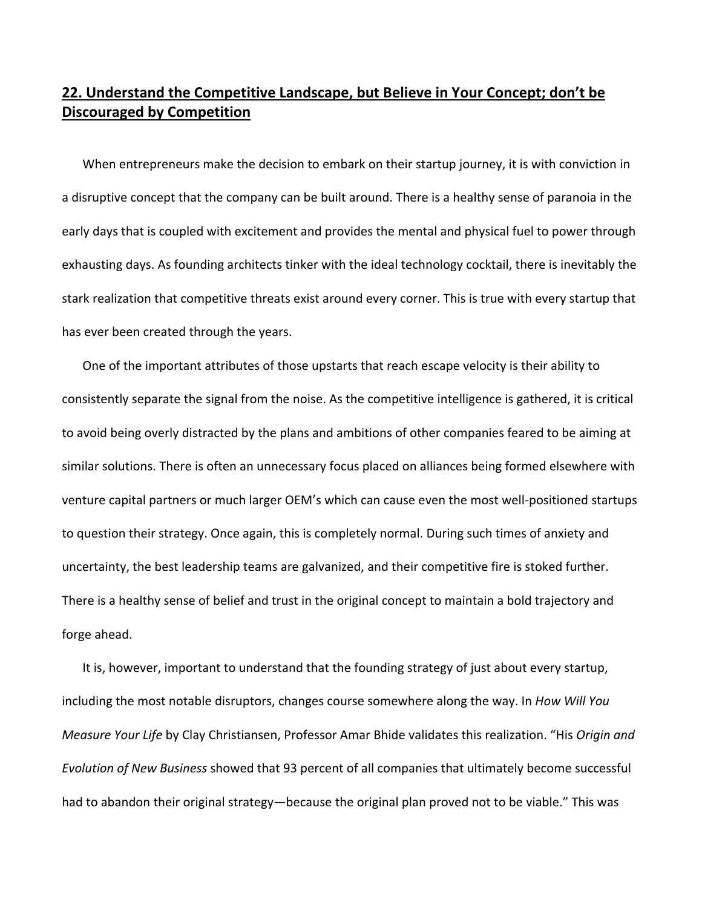## **22. Understand the Competitive Landscape, but Believe in Your Concept; don't be Discouraged by Competition**

When entrepreneurs make the decision to embark on their startup journey, it is with conviction in a disruptive concept that the company can be built around. There is a healthy sense of paranoia in the early days that is coupled with excitement and provides the mental and physical fuel to power through exhausting days. As founding architects tinker with the ideal technology cocktail, there is inevitably the stark realization that competitive threats exist around every corner. This is true with every startup that has ever been created through the years.

One of the important attributes of those upstarts that reach escape velocity is their ability to consistently separate the signal from the noise. As the competitive intelligence is gathered, it is critical to avoid being overly distracted by the plans and ambitions of other companies feared to be aiming at similar solutions. There is often an unnecessary focus placed on alliances being formed elsewhere with venture capital partners or much larger OEM's which can cause even the most well‐positioned startups to question their strategy. Once again, this is completely normal. During such times of anxiety and uncertainty, the best leadership teams are galvanized, and their competitive fire is stoked further. There is a healthy sense of belief and trust in the original concept to maintain a bold trajectory and forge ahead.

It is, however, important to understand that the founding strategy of just about every startup, including the most notable disruptors, changes course somewhere along the way. In *How Will You Measure Your Life* by Clay Christiansen, Professor Amar Bhide validates this realization. "His *Origin and Evolution of New Business* showed that 93 percent of all companies that ultimately become successful had to abandon their original strategy—because the original plan proved not to be viable." This was